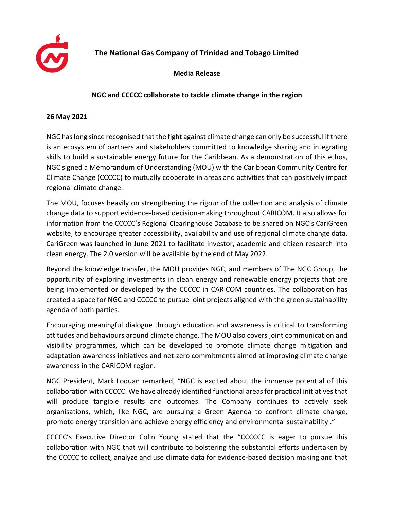

## **The National Gas Company of Trinidad and Tobago Limited**

**Media Release**

## **NGC and CCCCC collaborate to tackle climate change in the region**

## **26 May 2021**

NGC haslong since recognised that the fight against climate change can only be successful if there is an ecosystem of partners and stakeholders committed to knowledge sharing and integrating skills to build a sustainable energy future for the Caribbean. As a demonstration of this ethos, NGC signed a Memorandum of Understanding (MOU) with the Caribbean Community Centre for Climate Change (CCCCC) to mutually cooperate in areas and activities that can positively impact regional climate change.

The MOU, focuses heavily on strengthening the rigour of the collection and analysis of climate change data to support evidence-based decision-making throughout CARICOM. It also allows for information from the CCCCC's Regional Clearinghouse Database to be shared on NGC's CariGreen website, to encourage greater accessibility, availability and use of regional climate change data. CariGreen was launched in June 2021 to facilitate investor, academic and citizen research into clean energy. The 2.0 version will be available by the end of May 2022.

Beyond the knowledge transfer, the MOU provides NGC, and members of The NGC Group, the opportunity of exploring investments in clean energy and renewable energy projects that are being implemented or developed by the CCCCC in CARICOM countries. The collaboration has created a space for NGC and CCCCC to pursue joint projects aligned with the green sustainability agenda of both parties.

Encouraging meaningful dialogue through education and awareness is critical to transforming attitudes and behaviours around climate change. The MOU also covers joint communication and visibility programmes, which can be developed to promote climate change mitigation and adaptation awareness initiatives and net-zero commitments aimed at improving climate change awareness in the CARICOM region.

NGC President, Mark Loquan remarked, "NGC is excited about the immense potential of this collaboration with CCCCC. We have already identified functional areasfor practical initiativesthat will produce tangible results and outcomes. The Company continues to actively seek organisations, which, like NGC, are pursuing a Green Agenda to confront climate change, promote energy transition and achieve energy efficiency and environmental sustainability ."

CCCCC's Executive Director Colin Young stated that the "CCCCCC is eager to pursue this collaboration with NGC that will contribute to bolstering the substantial efforts undertaken by the CCCCC to collect, analyze and use climate data for evidence-based decision making and that